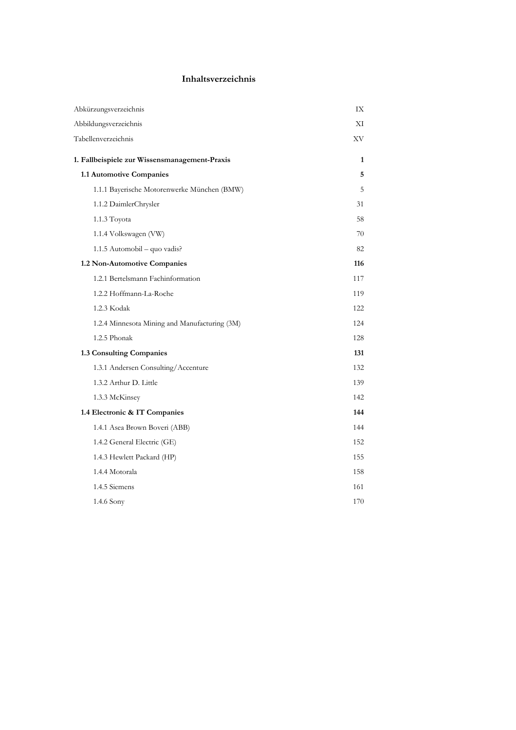## Inhaltsverzeichnis

| Abkürzungsverzeichnis                         | IX  |
|-----------------------------------------------|-----|
| Abbildungsverzeichnis                         | ΧI  |
| Tabellenverzeichnis                           | XV  |
| 1. Fallbeispiele zur Wissensmanagement-Praxis | 1   |
| 1.1 Automotive Companies                      | 5   |
| 1.1.1 Bayerische Motorenwerke München (BMW)   | 5   |
| 1.1.2 DaimlerChrysler                         | 31  |
| 1.1.3 Toyota                                  | 58  |
| 1.1.4 Volkswagen (VW)                         | 70  |
| 1.1.5 Automobil - quo vadis?                  | 82  |
| 1.2 Non-Automotive Companies                  | 116 |
| 1.2.1 Bertelsmann Fachinformation             | 117 |
| 1.2.2 Hoffmann-La-Roche                       | 119 |
| 1.2.3 Kodak                                   | 122 |
| 1.2.4 Minnesota Mining and Manufacturing (3M) | 124 |
| 1.2.5 Phonak                                  | 128 |
| 1.3 Consulting Companies                      | 131 |
| 1.3.1 Andersen Consulting/Accenture           | 132 |
| 1.3.2 Arthur D. Little                        | 139 |
| 1.3.3 McKinsey                                | 142 |
| 1.4 Electronic & IT Companies                 | 144 |
| 1.4.1 Asea Brown Boveri (ABB)                 | 144 |
| 1.4.2 General Electric (GE)                   | 152 |
| 1.4.3 Hewlett Packard (HP)                    | 155 |
| 1.4.4 Motorala                                | 158 |
| 1.4.5 Siemens                                 | 161 |
| 1.4.6 Sony                                    | 170 |